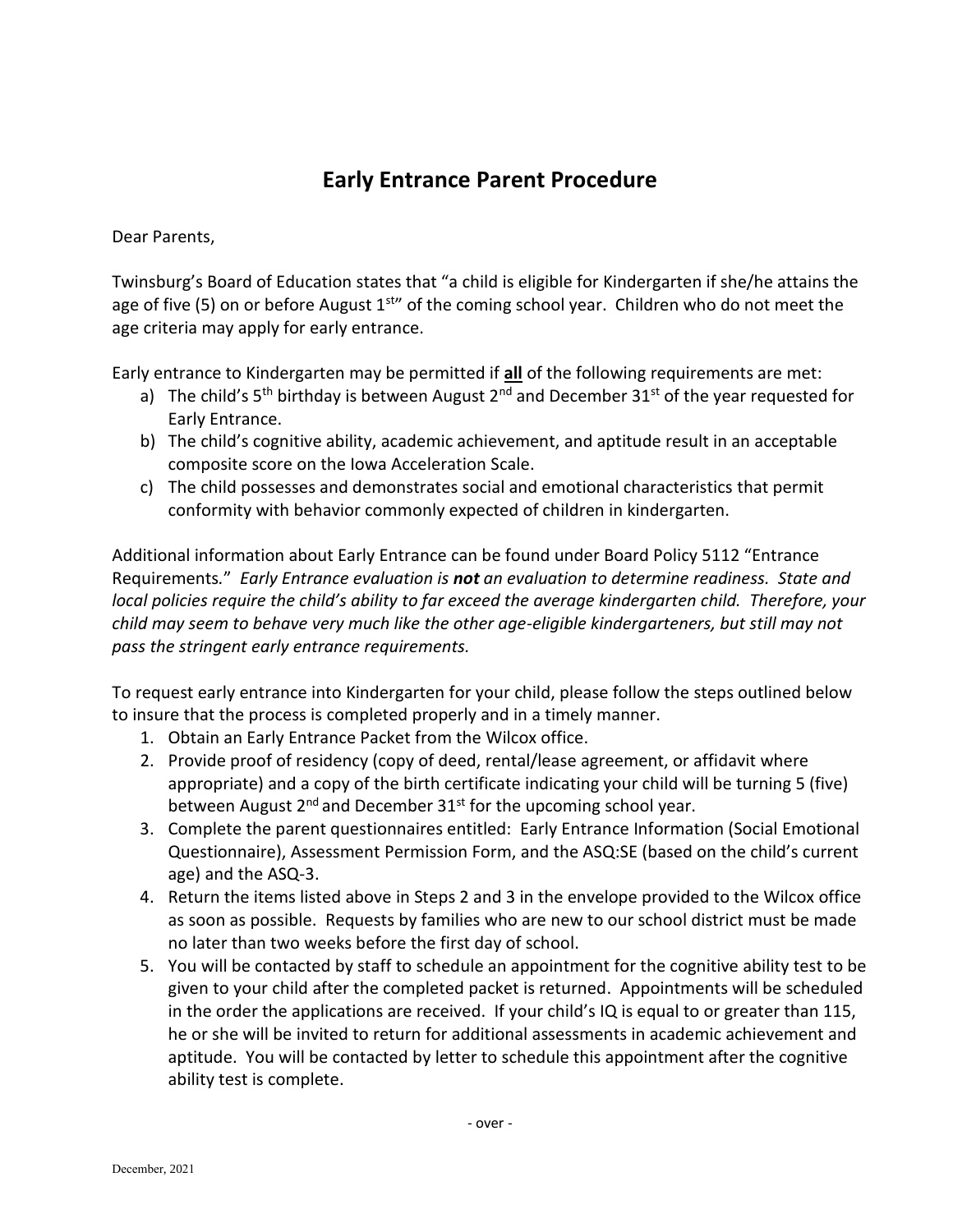## **Early Entrance Parent Procedure**

Dear Parents,

Twinsburg's Board of Education states that "a child is eligible for Kindergarten if she/he attains the age of five (5) on or before August  $1<sup>str</sup>$  of the coming school year. Children who do not meet the age criteria may apply for early entrance.

Early entrance to Kindergarten may be permitted if **all** of the following requirements are met:

- a) The child's  $5<sup>th</sup>$  birthday is between August 2<sup>nd</sup> and December 31<sup>st</sup> of the year requested for Early Entrance.
- b) The child's cognitive ability, academic achievement, and aptitude result in an acceptable composite score on the Iowa Acceleration Scale.
- c) The child possesses and demonstrates social and emotional characteristics that permit conformity with behavior commonly expected of children in kindergarten.

Additional information about Early Entrance can be found under Board Policy 5112 "Entrance Requirements*.*" *Early Entrance evaluation is not an evaluation to determine readiness. State and local policies require the child's ability to far exceed the average kindergarten child. Therefore, your child may seem to behave very much like the other age-eligible kindergarteners, but still may not pass the stringent early entrance requirements.* 

To request early entrance into Kindergarten for your child, please follow the steps outlined below to insure that the process is completed properly and in a timely manner.

- 1. Obtain an Early Entrance Packet from the Wilcox office.
- 2. Provide proof of residency (copy of deed, rental/lease agreement, or affidavit where appropriate) and a copy of the birth certificate indicating your child will be turning 5 (five) between August  $2^{nd}$  and December  $31^{st}$  for the upcoming school year.
- 3. Complete the parent questionnaires entitled: Early Entrance Information (Social Emotional Questionnaire), Assessment Permission Form, and the ASQ:SE (based on the child's current age) and the ASQ-3.
- 4. Return the items listed above in Steps 2 and 3 in the envelope provided to the Wilcox office as soon as possible. Requests by families who are new to our school district must be made no later than two weeks before the first day of school.
- 5. You will be contacted by staff to schedule an appointment for the cognitive ability test to be given to your child after the completed packet is returned. Appointments will be scheduled in the order the applications are received. If your child's IQ is equal to or greater than 115, he or she will be invited to return for additional assessments in academic achievement and aptitude. You will be contacted by letter to schedule this appointment after the cognitive ability test is complete.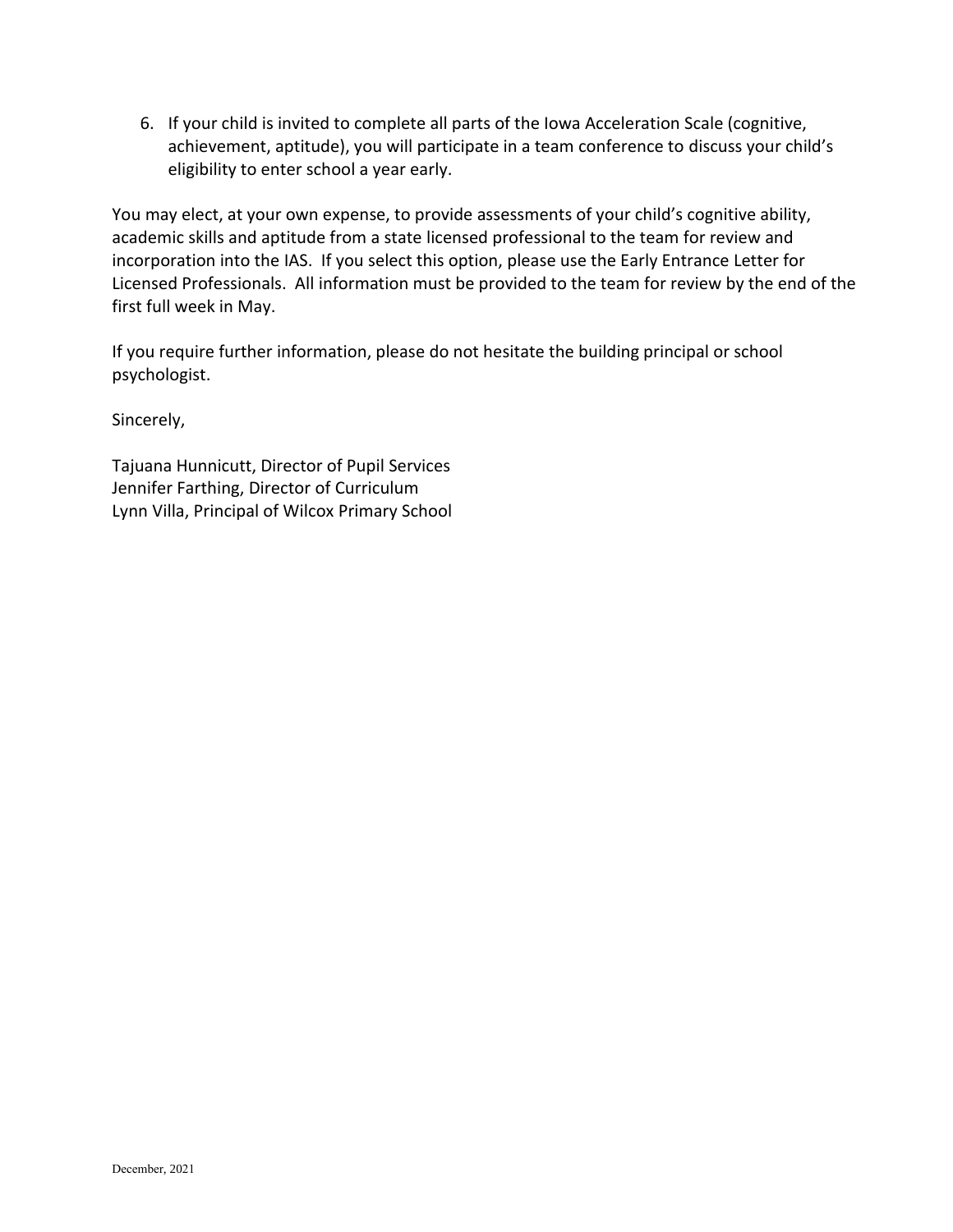6. If your child is invited to complete all parts of the Iowa Acceleration Scale (cognitive, achievement, aptitude), you will participate in a team conference to discuss your child's eligibility to enter school a year early.

You may elect, at your own expense, to provide assessments of your child's cognitive ability, academic skills and aptitude from a state licensed professional to the team for review and incorporation into the IAS. If you select this option, please use the Early Entrance Letter for Licensed Professionals. All information must be provided to the team for review by the end of the first full week in May.

If you require further information, please do not hesitate the building principal or school psychologist.

Sincerely,

Tajuana Hunnicutt, Director of Pupil Services Jennifer Farthing, Director of Curriculum Lynn Villa, Principal of Wilcox Primary School